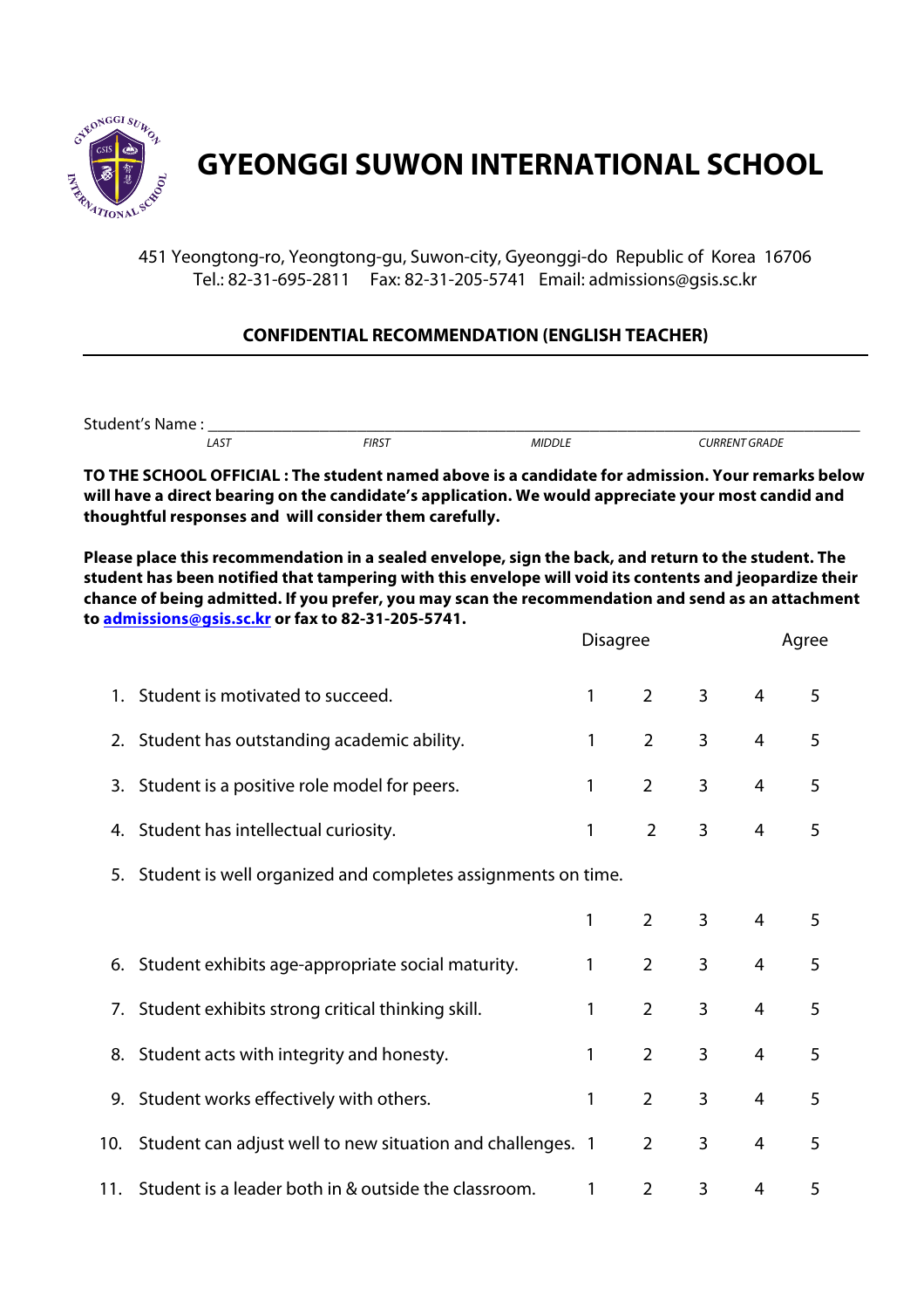

## **GYEONGGI SUWON INTERNATIONAL SCHOOL**

451 Yeongtong-ro, Yeongtong-gu, Suwon-city, Gyeonggi-do Republic of Korea 16706 Tel.: 82-31-695-2811 Fax: 82-31-205-5741 Email: admissions@gsis.sc.kr

## **CONFIDENTIAL RECOMMENDATION (ENGLISH TEACHER)**

| $\sim$<br>Stu.<br>M. |      |              |        |                    |  |  |
|----------------------|------|--------------|--------|--------------------|--|--|
|                      | LAST | <b>FIRST</b> | MIDDLL | r GRADE<br>∴URRENT |  |  |

**TO THE SCHOOL OFFICIAL : The student named above is a candidate for admission. Your remarks below will have a direct bearing on the candidate's application. We would appreciate your most candid and thoughtful responses and will consider them carefully.**

**Please place this recommendation in a sealed envelope, sign the back, and return to the student. The student has been notified that tampering with this envelope will void its contents and jeopardize their chance of being admitted. If you prefer, you may scan the recommendation and send as an attachment to admissions@gsis.sc.kr or fax to 82-31-205-5741.**

|     |                                                                 | <b>Disagree</b> |                |                |                | Agree |
|-----|-----------------------------------------------------------------|-----------------|----------------|----------------|----------------|-------|
|     | 1. Student is motivated to succeed.                             | 1               | $\overline{2}$ | $\overline{3}$ | $\overline{4}$ | 5     |
|     | 2. Student has outstanding academic ability.                    | 1               | $\overline{2}$ | 3              | $\overline{4}$ | 5     |
|     | 3. Student is a positive role model for peers.                  | 1               | $\overline{2}$ | 3              | 4              | 5     |
|     | 4. Student has intellectual curiosity.                          | 1               | $\overline{2}$ | 3              | $\overline{4}$ | 5     |
|     | 5. Student is well organized and completes assignments on time. |                 |                |                |                |       |
|     |                                                                 | 1               | $\overline{2}$ | 3              | $\overline{4}$ | 5     |
|     | 6. Student exhibits age-appropriate social maturity.            | 1               | $\overline{2}$ | 3              | $\overline{4}$ | 5     |
|     | 7. Student exhibits strong critical thinking skill.             | 1               | $\overline{2}$ | 3              | 4              | 5     |
|     | 8. Student acts with integrity and honesty.                     | 1               | $\overline{2}$ | 3              | 4              | 5     |
|     | 9. Student works effectively with others.                       | 1               | $\overline{2}$ | 3              | $\overline{4}$ | 5     |
| 10. | Student can adjust well to new situation and challenges. 1      |                 | $\overline{2}$ | 3              | 4              | 5     |
| 11. | Student is a leader both in & outside the classroom.            | 1               | $\overline{2}$ | 3              | 4              | 5     |